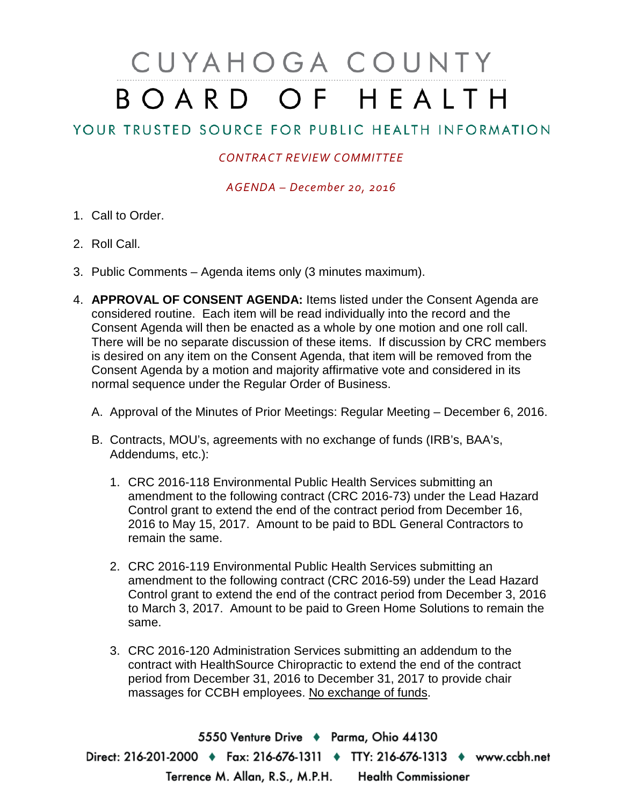## CUYAHOGA COUNTY BOARD OF HEALTH

## YOUR TRUSTED SOURCE FOR PUBLIC HEALTH INFORMATION

## *CONTRACT REVIEW COMMITTEE*

*AGENDA – December 20, 2016*

- 1. Call to Order.
- 2. Roll Call.
- 3. Public Comments Agenda items only (3 minutes maximum).
- 4. **APPROVAL OF CONSENT AGENDA:** Items listed under the Consent Agenda are considered routine. Each item will be read individually into the record and the Consent Agenda will then be enacted as a whole by one motion and one roll call. There will be no separate discussion of these items. If discussion by CRC members is desired on any item on the Consent Agenda, that item will be removed from the Consent Agenda by a motion and majority affirmative vote and considered in its normal sequence under the Regular Order of Business.
	- A. Approval of the Minutes of Prior Meetings: Regular Meeting December 6, 2016.
	- B. Contracts, MOU's, agreements with no exchange of funds (IRB's, BAA's, Addendums, etc.):
		- 1. CRC 2016-118 Environmental Public Health Services submitting an amendment to the following contract (CRC 2016-73) under the Lead Hazard Control grant to extend the end of the contract period from December 16, 2016 to May 15, 2017. Amount to be paid to BDL General Contractors to remain the same.
		- 2. CRC 2016-119 Environmental Public Health Services submitting an amendment to the following contract (CRC 2016-59) under the Lead Hazard Control grant to extend the end of the contract period from December 3, 2016 to March 3, 2017. Amount to be paid to Green Home Solutions to remain the same.
		- 3. CRC 2016-120 Administration Services submitting an addendum to the contract with HealthSource Chiropractic to extend the end of the contract period from December 31, 2016 to December 31, 2017 to provide chair massages for CCBH employees. No exchange of funds.

5550 Venture Drive + Parma, Ohio 44130 Direct: 216-201-2000 • Fax: 216-676-1311 • TTY: 216-676-1313 • www.ccbh.net Terrence M. Allan, R.S., M.P.H. Health Commissioner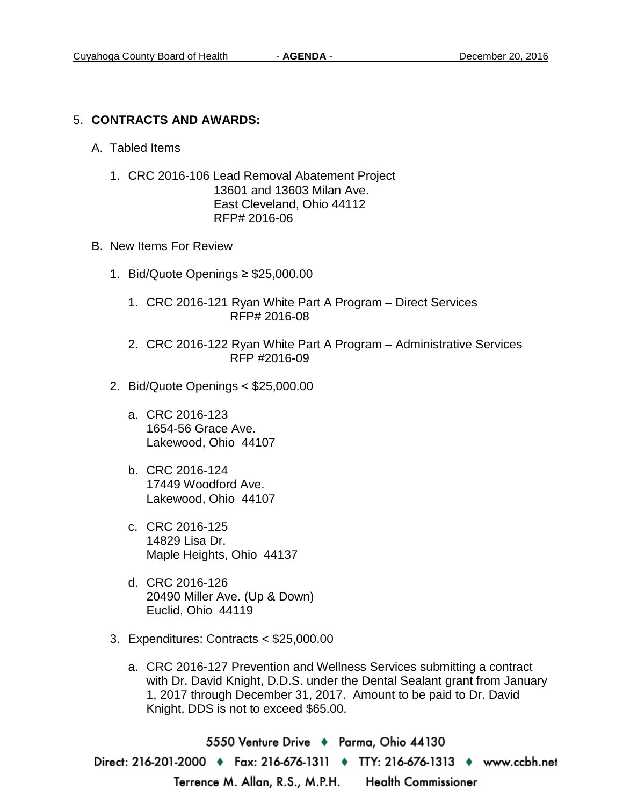## 5. **CONTRACTS AND AWARDS:**

- A. Tabled Items
	- 1. CRC 2016-106 Lead Removal Abatement Project 13601 and 13603 Milan Ave. East Cleveland, Ohio 44112 RFP# 2016-06
- B. New Items For Review
	- 1. Bid/Quote Openings ≥ \$25,000.00
		- 1. CRC 2016-121 Ryan White Part A Program Direct Services RFP# 2016-08
		- 2. CRC 2016-122 Ryan White Part A Program Administrative Services RFP #2016-09
	- 2. Bid/Quote Openings < \$25,000.00
		- a. CRC 2016-123 1654-56 Grace Ave. Lakewood, Ohio 44107
		- b. CRC 2016-124 17449 Woodford Ave. Lakewood, Ohio 44107
		- c. CRC 2016-125 14829 Lisa Dr. Maple Heights, Ohio 44137
		- d. CRC 2016-126 20490 Miller Ave. (Up & Down) Euclid, Ohio 44119
	- 3. Expenditures: Contracts < \$25,000.00
		- a. CRC 2016-127 Prevention and Wellness Services submitting a contract with Dr. David Knight, D.D.S. under the Dental Sealant grant from January 1, 2017 through December 31, 2017. Amount to be paid to Dr. David Knight, DDS is not to exceed \$65.00.

5550 Venture Drive + Parma, Ohio 44130 Direct: 216-201-2000 ♦ Fax: 216-676-1311 ♦ TTY: 216-676-1313 ♦ www.ccbh.net Terrence M. Allan, R.S., M.P.H. Health Commissioner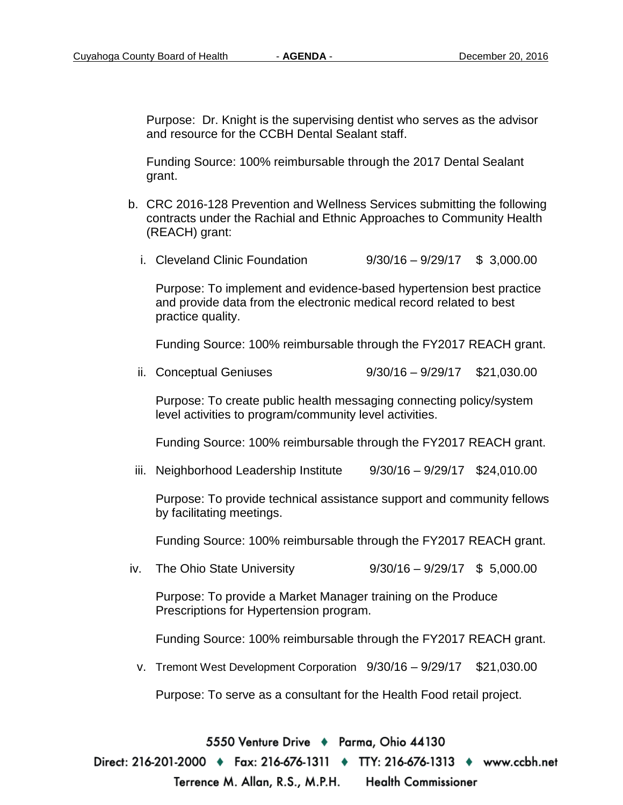Purpose: Dr. Knight is the supervising dentist who serves as the advisor and resource for the CCBH Dental Sealant staff.

Funding Source: 100% reimbursable through the 2017 Dental Sealant grant.

- b. CRC 2016-128 Prevention and Wellness Services submitting the following contracts under the Rachial and Ethnic Approaches to Community Health (REACH) grant:
	- i. Cleveland Clinic Foundation 9/30/16 9/29/17 \$ 3,000.00

Purpose: To implement and evidence-based hypertension best practice and provide data from the electronic medical record related to best practice quality.

Funding Source: 100% reimbursable through the FY2017 REACH grant.

ii. Conceptual Geniuses 9/30/16 – 9/29/17 \$21,030.00

Purpose: To create public health messaging connecting policy/system level activities to program/community level activities.

Funding Source: 100% reimbursable through the FY2017 REACH grant.

iii. Neighborhood Leadership Institute  $9/30/16 - 9/29/17$  \$24,010.00

Purpose: To provide technical assistance support and community fellows by facilitating meetings.

Funding Source: 100% reimbursable through the FY2017 REACH grant.

iv. The Ohio State University 9/30/16 – 9/29/17 \$ 5,000.00

Purpose: To provide a Market Manager training on the Produce Prescriptions for Hypertension program.

Funding Source: 100% reimbursable through the FY2017 REACH grant.

v. Tremont West Development Corporation 9/30/16 – 9/29/17 \$21,030.00

Purpose: To serve as a consultant for the Health Food retail project.

5550 Venture Drive + Parma, Ohio 44130

Direct: 216-201-2000 ♦ Fax: 216-676-1311 ♦ TTY: 216-676-1313 ♦ www.ccbh.net Terrence M. Allan, R.S., M.P.H. Health Commissioner